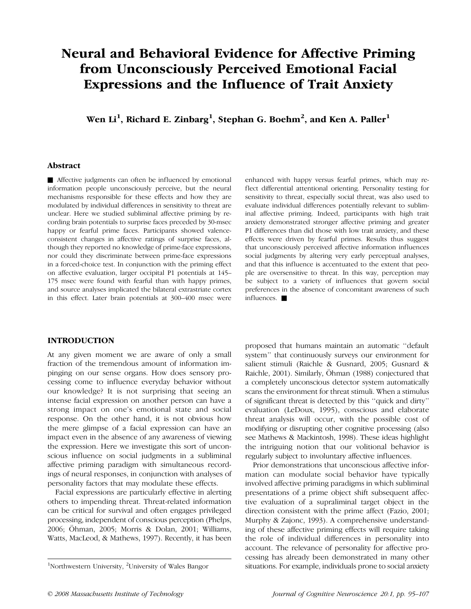# Neural and Behavioral Evidence for Affective Priming from Unconsciously Perceived Emotional Facial Expressions and the Influence of Trait Anxiety

Wen Li $^1$ , Richard E. Zinbarg $^1$ , Stephan G. Boehm $^2$ , and Ken A. Paller $^1$ 

# Abstract

& Affective judgments can often be influenced by emotional information people unconsciously perceive, but the neural mechanisms responsible for these effects and how they are modulated by individual differences in sensitivity to threat are unclear. Here we studied subliminal affective priming by recording brain potentials to surprise faces preceded by 30-msec happy or fearful prime faces. Participants showed valenceconsistent changes in affective ratings of surprise faces, although they reported no knowledge of prime-face expressions, nor could they discriminate between prime-face expressions in a forced-choice test. In conjunction with the priming effect on affective evaluation, larger occipital P1 potentials at 145– 175 msec were found with fearful than with happy primes, and source analyses implicated the bilateral extrastriate cortex in this effect. Later brain potentials at 300–400 msec were

enhanced with happy versus fearful primes, which may reflect differential attentional orienting. Personality testing for sensitivity to threat, especially social threat, was also used to evaluate individual differences potentially relevant to subliminal affective priming. Indeed, participants with high trait anxiety demonstrated stronger affective priming and greater P1 differences than did those with low trait anxiety, and these effects were driven by fearful primes. Results thus suggest that unconsciously perceived affective information influences social judgments by altering very early perceptual analyses, and that this influence is accentuated to the extent that people are oversensitive to threat. In this way, perception may be subject to a variety of influences that govern social preferences in the absence of concomitant awareness of such influences.

#### INTRODUCTION

At any given moment we are aware of only a small fraction of the tremendous amount of information impinging on our sense organs. How does sensory processing come to influence everyday behavior without our knowledge? It is not surprising that seeing an intense facial expression on another person can have a strong impact on one's emotional state and social response. On the other hand, it is not obvious how the mere glimpse of a facial expression can have an impact even in the absence of any awareness of viewing the expression. Here we investigate this sort of unconscious influence on social judgments in a subliminal affective priming paradigm with simultaneous recordings of neural responses, in conjunction with analyses of personality factors that may modulate these effects.

Facial expressions are particularly effective in alerting others to impending threat. Threat-related information can be critical for survival and often engages privileged processing, independent of conscious perception (Phelps, 2006; Ohman, 2005; Morris & Dolan, 2001; Williams, Watts, MacLeod, & Mathews, 1997). Recently, it has been

proposed that humans maintain an automatic ''default system'' that continuously surveys our environment for salient stimuli (Raichle & Gusnard, 2005; Gusnard & Raichle, 2001). Similarly, Öhman (1988) conjectured that a completely unconscious detector system automatically scans the environment for threat stimuli. When a stimulus of significant threat is detected by this ''quick and dirty'' evaluation (LeDoux, 1995), conscious and elaborate threat analysis will occur, with the possible cost of modifying or disrupting other cognitive processing (also see Mathews & Mackintosh, 1998). These ideas highlight the intriguing notion that our volitional behavior is regularly subject to involuntary affective influences.

Prior demonstrations that unconscious affective information can modulate social behavior have typically involved affective priming paradigms in which subliminal presentations of a prime object shift subsequent affective evaluation of a supraliminal target object in the direction consistent with the prime affect (Fazio, 2001; Murphy & Zajonc, 1993). A comprehensive understanding of these affective priming effects will require taking the role of individual differences in personality into account. The relevance of personality for affective processing has already been demonstrated in many other situations. For example, individuals prone to social anxiety <sup>1</sup>

Northwestern University, <sup>2</sup>University of Wales Bangor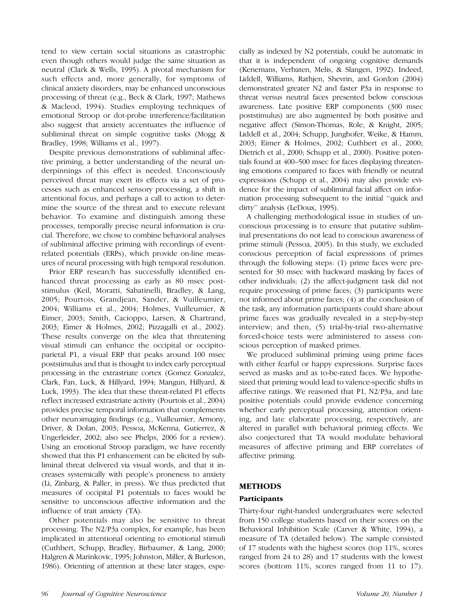tend to view certain social situations as catastrophic even though others would judge the same situation as neutral (Clark & Wells, 1995). A pivotal mechanism for such effects and, more generally, for symptoms of clinical anxiety disorders, may be enhanced unconscious processing of threat (e.g., Beck & Clark, 1997; Mathews & Macleod, 1994). Studies employing techniques of emotional Stroop or dot-probe interference/facilitation also suggest that anxiety accentuates the influence of subliminal threat on simple cognitive tasks (Mogg & Bradley, 1998; Williams et al., 1997).

Despite previous demonstrations of subliminal affective priming, a better understanding of the neural underpinnings of this effect is needed. Unconsciously perceived threat may exert its effects via a set of processes such as enhanced sensory processing, a shift in attentional focus, and perhaps a call to action to determine the source of the threat and to execute relevant behavior. To examine and distinguish among these processes, temporally precise neural information is crucial. Therefore, we chose to combine behavioral analyses of subliminal affective priming with recordings of eventrelated potentials (ERPs), which provide on-line measures of neural processing with high temporal resolution.

Prior ERP research has successfully identified enhanced threat processing as early as 80 msec poststimulus (Keil, Moratti, Sabatinelli, Bradley, & Lang, 2005; Pourtois, Grandjean, Sander, & Vuilleumier, 2004; Williams et al., 2004; Holmes, Vuilleumier, & Eimer, 2003; Smith, Cacioppo, Larsen, & Chartrand, 2003; Eimer & Holmes, 2002; Pizzagalli et al., 2002). These results converge on the idea that threatening visual stimuli can enhance the occipital or occipitoparietal P1, a visual ERP that peaks around 100 msec poststimulus and that is thought to index early perceptual processing in the extrastriate cortex (Gomez Gonzalez, Clark, Fan, Luck, & Hillyard, 1994; Mangun, Hillyard, & Luck, 1993). The idea that these threat-related P1 effects reflect increased extrastriate activity (Pourtois et al., 2004) provides precise temporal information that complements other neuroimaging findings (e.g., Vuilleumier, Armony, Driver, & Dolan, 2003; Pessoa, McKenna, Gutierrez, & Ungerleider, 2002; also see Phelps, 2006 for a review). Using an emotional Stroop paradigm, we have recently showed that this P1 enhancement can be elicited by subliminal threat delivered via visual words, and that it increases systemically with people's proneness to anxiety (Li, Zinbarg, & Paller, in press). We thus predicted that measures of occipital P1 potentials to faces would be sensitive to unconscious affective information and the influence of trait anxiety (TA).

Other potentials may also be sensitive to threat processing. The N2/P3a complex, for example, has been implicated in attentional orienting to emotional stimuli (Cuthbert, Schupp, Bradley, Birbaumer, & Lang, 2000; Halgren & Marinkovic, 1995; Johnston, Miller, & Burleson, 1986). Orienting of attention at these later stages, espe-

cially as indexed by N2 potentials, could be automatic in that it is independent of ongoing cognitive demands (Kenemans, Verbaten, Melis, & Slangen, 1992). Indeed, Liddell, Williams, Rathjen, Shevrin, and Gordon (2004) demonstrated greater N2 and faster P3a in response to threat versus neutral faces presented below conscious awareness. Late positive ERP components (300 msec poststimulus) are also augmented by both positive and negative affect (Simon-Thomas, Role, & Knight, 2005; Liddell et al., 2004; Schupp, Junghofer, Weike, & Hamm, 2003; Eimer & Holmes, 2002; Cuthbert et al., 2000; Dietrich et al., 2000; Schupp et al., 2000). Positive potentials found at 400–500 msec for faces displaying threatening emotions compared to faces with friendly or neutral expressions (Schupp et al., 2004) may also provide evidence for the impact of subliminal facial affect on information processing subsequent to the initial ''quick and dirty'' analysis (LeDoux, 1995).

A challenging methodological issue in studies of unconscious processing is to ensure that putative subliminal presentations do not lead to conscious awareness of prime stimuli (Pessoa, 2005). In this study, we excluded conscious perception of facial expressions of primes through the following steps: (1) prime faces were presented for 30 msec with backward masking by faces of other individuals; (2) the affect-judgment task did not require processing of prime faces; (3) participants were not informed about prime faces; (4) at the conclusion of the task, any information participants could share about prime faces was gradually revealed in a step-by-step interview; and then, (5) trial-by-trial two-alternative forced-choice tests were administered to assess conscious perception of masked primes.

We produced subliminal priming using prime faces with either fearful or happy expressions. Surprise faces served as masks and as to-be-rated faces. We hypothesized that priming would lead to valence-specific shifts in affective ratings. We reasoned that P1, N2/P3a, and late positive potentials could provide evidence concerning whether early perceptual processing, attention orienting, and late elaborate processing, respectively, are altered in parallel with behavioral priming effects. We also conjectured that TA would modulate behavioral measures of affective priming and ERP correlates of affective priming.

# METHODS

## Participants

Thirty-four right-handed undergraduates were selected from 150 college students based on their scores on the Behavioral Inhibition Scale (Carver & White, 1994), a measure of TA (detailed below). The sample consisted of 17 students with the highest scores (top 11%, scores ranged from 24 to 28) and 17 students with the lowest scores (bottom 11%, scores ranged from 11 to 17).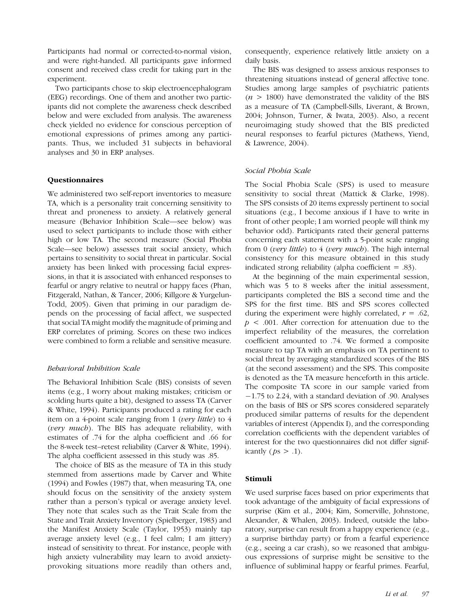Participants had normal or corrected-to-normal vision, and were right-handed. All participants gave informed consent and received class credit for taking part in the experiment.

Two participants chose to skip electroencephalogram (EEG) recordings. One of them and another two participants did not complete the awareness check described below and were excluded from analysis. The awareness check yielded no evidence for conscious perception of emotional expressions of primes among any participants. Thus, we included 31 subjects in behavioral analyses and 30 in ERP analyses.

## Questionnaires

We administered two self-report inventories to measure TA, which is a personality trait concerning sensitivity to threat and proneness to anxiety. A relatively general measure (Behavior Inhibition Scale—see below) was used to select participants to include those with either high or low TA. The second measure (Social Phobia Scale—see below) assesses trait social anxiety, which pertains to sensitivity to social threat in particular. Social anxiety has been linked with processing facial expressions, in that it is associated with enhanced responses to fearful or angry relative to neutral or happy faces (Phan, Fitzgerald, Nathan, & Tancer, 2006; Killgore & Yurgelun-Todd, 2005). Given that priming in our paradigm depends on the processing of facial affect, we suspected that social TA might modify the magnitude of priming and ERP correlates of priming. Scores on these two indices were combined to form a reliable and sensitive measure.

## Behavioral Inhibition Scale

The Behavioral Inhibition Scale (BIS) consists of seven items (e.g., I worry about making mistakes; criticism or scolding hurts quite a bit), designed to assess TA (Carver & White, 1994). Participants produced a rating for each item on a 4-point scale ranging from  $1$  (very little) to  $4$ (very much). The BIS has adequate reliability, with estimates of .74 for the alpha coefficient and .66 for the 8-week test–retest reliability (Carver & White, 1994). The alpha coefficient assessed in this study was .85.

The choice of BIS as the measure of TA in this study stemmed from assertions made by Carver and White (1994) and Fowles (1987) that, when measuring TA, one should focus on the sensitivity of the anxiety system rather than a person's typical or average anxiety level. They note that scales such as the Trait Scale from the State and Trait Anxiety Inventory (Spielberger, 1983) and the Manifest Anxiety Scale (Taylor, 1953) mainly tap average anxiety level (e.g., I feel calm; I am jittery) instead of sensitivity to threat. For instance, people with high anxiety vulnerability may learn to avoid anxietyprovoking situations more readily than others and, consequently, experience relatively little anxiety on a daily basis.

The BIS was designed to assess anxious responses to threatening situations instead of general affective tone. Studies among large samples of psychiatric patients  $(n > 1800)$  have demonstrated the validity of the BIS as a measure of TA (Campbell-Sills, Liverant, & Brown, 2004; Johnson, Turner, & Iwata, 2003). Also, a recent neuroimaging study showed that the BIS predicted neural responses to fearful pictures (Mathews, Yiend, & Lawrence, 2004).

# Social Phobia Scale

The Social Phobia Scale (SPS) is used to measure sensitivity to social threat (Mattick & Clarke, 1998). The SPS consists of 20 items expressly pertinent to social situations (e.g., I become anxious if I have to write in front of other people; I am worried people will think my behavior odd). Participants rated their general patterns concerning each statement with a 5-point scale ranging from 0 (very little) to 4 (very much). The high internal consistency for this measure obtained in this study indicated strong reliability (alpha coefficient  $= .83$ ).

At the beginning of the main experimental session, which was 5 to 8 weeks after the initial assessment, participants completed the BIS a second time and the SPS for the first time. BIS and SPS scores collected during the experiment were highly correlated,  $r = .62$ ,  $p \leq 0.001$ . After correction for attenuation due to the imperfect reliability of the measures, the correlation coefficient amounted to .74. We formed a composite measure to tap TA with an emphasis on TA pertinent to social threat by averaging standardized scores of the BIS (at the second assessment) and the SPS. This composite is denoted as the TA measure henceforth in this article. The composite TA score in our sample varied from  $-1.75$  to 2.24, with a standard deviation of .90. Analyses on the basis of BIS or SPS scores considered separately produced similar patterns of results for the dependent variables of interest (Appendix I), and the corresponding correlation coefficients with the dependent variables of interest for the two questionnaires did not differ significantly ( $ps > .1$ ).

# Stimuli

We used surprise faces based on prior experiments that took advantage of the ambiguity of facial expressions of surprise (Kim et al., 2004; Kim, Somerville, Johnstone, Alexander, & Whalen, 2003). Indeed, outside the laboratory, surprise can result from a happy experience (e.g., a surprise birthday party) or from a fearful experience (e.g., seeing a car crash), so we reasoned that ambiguous expressions of surprise might be sensitive to the influence of subliminal happy or fearful primes. Fearful,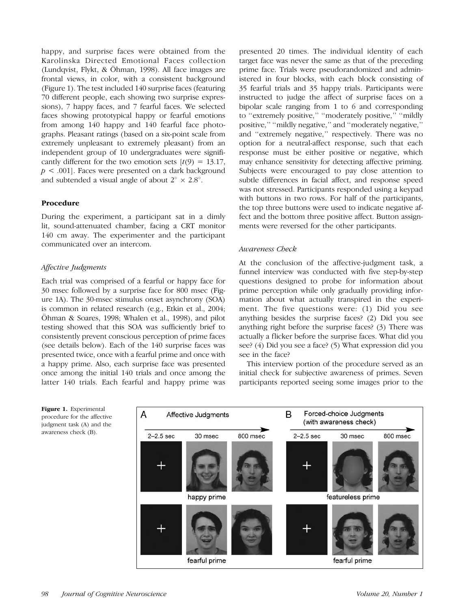happy, and surprise faces were obtained from the Karolinska Directed Emotional Faces collection (Lundqvist, Flykt,  $\&$  Öhman, 1998). All face images are frontal views, in color, with a consistent background (Figure 1). The test included 140 surprise faces (featuring 70 different people, each showing two surprise expressions), 7 happy faces, and 7 fearful faces. We selected faces showing prototypical happy or fearful emotions from among 140 happy and 140 fearful face photographs. Pleasant ratings (based on a six-point scale from extremely unpleasant to extremely pleasant) from an independent group of 10 undergraduates were significantly different for the two emotion sets  $[t(9) = 13.17]$ ,  $p < .001$ ]. Faces were presented on a dark background and subtended a visual angle of about  $2^{\circ} \times 2.8^{\circ}$ .

# Procedure

During the experiment, a participant sat in a dimly lit, sound-attenuated chamber, facing a CRT monitor 140 cm away. The experimenter and the participant communicated over an intercom.

# Affective Judgments

Each trial was comprised of a fearful or happy face for 30 msec followed by a surprise face for 800 msec (Figure 1A). The 30-msec stimulus onset asynchrony (SOA) is common in related research (e.g., Etkin et al., 2004; Öhman & Soares, 1998; Whalen et al., 1998), and pilot testing showed that this SOA was sufficiently brief to consistently prevent conscious perception of prime faces (see details below). Each of the 140 surprise faces was presented twice, once with a fearful prime and once with a happy prime. Also, each surprise face was presented once among the initial 140 trials and once among the latter 140 trials. Each fearful and happy prime was

presented 20 times. The individual identity of each target face was never the same as that of the preceding prime face. Trials were pseudorandomized and administered in four blocks, with each block consisting of 35 fearful trials and 35 happy trials. Participants were instructed to judge the affect of surprise faces on a bipolar scale ranging from 1 to 6 and corresponding to ''extremely positive,'' ''moderately positive,'' ''mildly positive," "mildly negative," and "moderately negative," and ''extremely negative,'' respectively. There was no option for a neutral-affect response, such that each response must be either positive or negative, which may enhance sensitivity for detecting affective priming. Subjects were encouraged to pay close attention to subtle differences in facial affect, and response speed was not stressed. Participants responded using a keypad with buttons in two rows. For half of the participants, the top three buttons were used to indicate negative affect and the bottom three positive affect. Button assignments were reversed for the other participants.

# Awareness Check

At the conclusion of the affective-judgment task, a funnel interview was conducted with five step-by-step questions designed to probe for information about prime perception while only gradually providing information about what actually transpired in the experiment. The five questions were: (1) Did you see anything besides the surprise faces? (2) Did you see anything right before the surprise faces? (3) There was actually a flicker before the surprise faces. What did you see? (4) Did you see a face? (5) What expression did you see in the face?

This interview portion of the procedure served as an initial check for subjective awareness of primes. Seven participants reported seeing some images prior to the



Figure 1. Experimental procedure for the affective judgment task (A) and the awareness check (B).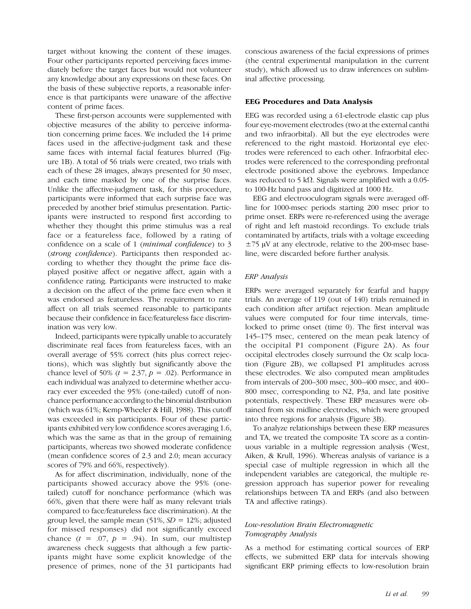target without knowing the content of these images. Four other participants reported perceiving faces immediately before the target faces but would not volunteer any knowledge about any expressions on these faces. On the basis of these subjective reports, a reasonable inference is that participants were unaware of the affective content of prime faces.

These first-person accounts were supplemented with objective measures of the ability to perceive information concerning prime faces. We included the 14 prime faces used in the affective-judgment task and these same faces with internal facial features blurred (Figure 1B). A total of 56 trials were created, two trials with each of these 28 images, always presented for 30 msec, and each time masked by one of the surprise faces. Unlike the affective-judgment task, for this procedure, participants were informed that each surprise face was preceded by another brief stimulus presentation. Participants were instructed to respond first according to whether they thought this prime stimulus was a real face or a featureless face, followed by a rating of confidence on a scale of 1 (minimal confidence) to 3 (strong confidence). Participants then responded according to whether they thought the prime face displayed positive affect or negative affect, again with a confidence rating. Participants were instructed to make a decision on the affect of the prime face even when it was endorsed as featureless. The requirement to rate affect on all trials seemed reasonable to participants because their confidence in face/featureless face discrimination was very low.

Indeed, participants were typically unable to accurately discriminate real faces from featureless faces, with an overall average of 55% correct (hits plus correct rejections), which was slightly but significantly above the chance level of 50% ( $t = 2.37$ ,  $p = .02$ ). Performance in each individual was analyzed to determine whether accuracy ever exceeded the 95% (one-tailed) cutoff of nonchance performance according to the binomial distribution (which was 61%; Kemp-Wheeler & Hill, 1988). This cutoff was exceeded in six participants. Four of these participants exhibited very low confidence scores averaging 1.6, which was the same as that in the group of remaining participants, whereas two showed moderate confidence (mean confidence scores of 2.3 and 2.0; mean accuracy scores of 79% and 66%, respectively).

As for affect discrimination, individually, none of the participants showed accuracy above the 95% (onetailed) cutoff for nonchance performance (which was 66%, given that there were half as many relevant trials compared to face/featureless face discrimination). At the group level, the sample mean  $(51\%, SD = 12\%;$  adjusted for missed responses) did not significantly exceed chance  $(t = .07, p = .94)$ . In sum, our multistep awareness check suggests that although a few participants might have some explicit knowledge of the presence of primes, none of the 31 participants had conscious awareness of the facial expressions of primes (the central experimental manipulation in the current study), which allowed us to draw inferences on subliminal affective processing.

#### EEG Procedures and Data Analysis

EEG was recorded using a 61-electrode elastic cap plus four eye-movement electrodes (two at the external canthi and two infraorbital). All but the eye electrodes were referenced to the right mastoid. Horizontal eye electrodes were referenced to each other. Infraorbital electrodes were referenced to the corresponding prefrontal electrode positioned above the eyebrows. Impedance was reduced to 5 k $\Omega$ . Signals were amplified with a 0.05to 100-Hz band pass and digitized at 1000 Hz.

EEG and electrooculogram signals were averaged offline for 1000-msec periods starting 200 msec prior to prime onset. ERPs were re-referenced using the average of right and left mastoid recordings. To exclude trials contaminated by artifacts, trials with a voltage exceeding  $\pm$ 75  $\mu$ V at any electrode, relative to the 200-msec baseline, were discarded before further analysis.

#### ERP Analysis

ERPs were averaged separately for fearful and happy trials. An average of 119 (out of 140) trials remained in each condition after artifact rejection. Mean amplitude values were computed for four time intervals, timelocked to prime onset (time 0). The first interval was 145–175 msec, centered on the mean peak latency of the occipital P1 component (Figure 2A). As four occipital electrodes closely surround the Oz scalp location (Figure 2B), we collapsed P1 amplitudes across these electrodes. We also computed mean amplitudes from intervals of 200–300 msec, 300–400 msec, and 400– 800 msec, corresponding to N2, P3a, and late positive potentials, respectively. These ERP measures were obtained from six midline electrodes, which were grouped into three regions for analysis (Figure 3B).

To analyze relationships between these ERP measures and TA, we treated the composite TA score as a continuous variable in a multiple regression analysis (West, Aiken, & Krull, 1996). Whereas analysis of variance is a special case of multiple regression in which all the independent variables are categorical, the multiple regression approach has superior power for revealing relationships between TA and ERPs (and also between TA and affective ratings).

## Low-resolution Brain Electromagnetic Tomography Analysis

As a method for estimating cortical sources of ERP effects, we submitted ERP data for intervals showing significant ERP priming effects to low-resolution brain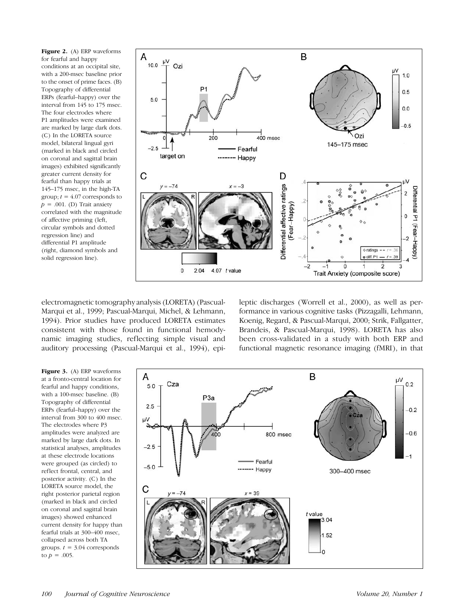Figure 2. (A) ERP waveforms for fearful and happy conditions at an occipital site, with a 200-msec baseline prior to the onset of prime faces. (B) Topography of differential ERPs (fearful–happy) over the interval from 145 to 175 msec. The four electrodes where P1 amplitudes were examined are marked by large dark dots. (C) In the LORETA source model, bilateral lingual gyri (marked in black and circled on coronal and sagittal brain images) exhibited significantly greater current density for fearful than happy trials at 145–175 msec, in the high-TA group;  $t = 4.07$  corresponds to  $p = .001$ . (D) Trait anxiety correlated with the magnitude of affective priming (left, circular symbols and dotted regression line) and differential P1 amplitude (right, diamond symbols and solid regression line).



electromagnetic tomography analysis (LORETA) (Pascual-Marqui et al., 1999; Pascual-Marqui, Michel, & Lehmann, 1994). Prior studies have produced LORETA estimates consistent with those found in functional hemodynamic imaging studies, reflecting simple visual and auditory processing (Pascual-Marqui et al., 1994), epileptic discharges (Worrell et al., 2000), as well as performance in various cognitive tasks (Pizzagalli, Lehmann, Koenig, Regard, & Pascual-Marqui, 2000; Strik, Fallgatter, Brandeis, & Pascual-Marqui, 1998). LORETA has also been cross-validated in a study with both ERP and functional magnetic resonance imaging (fMRI), in that

Figure 3. (A) ERP waveforms at a fronto-central location for fearful and happy conditions, with a 100-msec baseline. (B) Topography of differential ERPs (fearful–happy) over the interval from 300 to 400 msec. The electrodes where P3 amplitudes were analyzed are marked by large dark dots. In statistical analyses, amplitudes at these electrode locations were grouped (as circled) to reflect frontal, central, and posterior activity. (C) In the LORETA source model, the right posterior parietal region (marked in black and circled on coronal and sagittal brain images) showed enhanced current density for happy than fearful trials at 300–400 msec, collapsed across both TA groups.  $t = 3.04$  corresponds to  $p = .005$ .

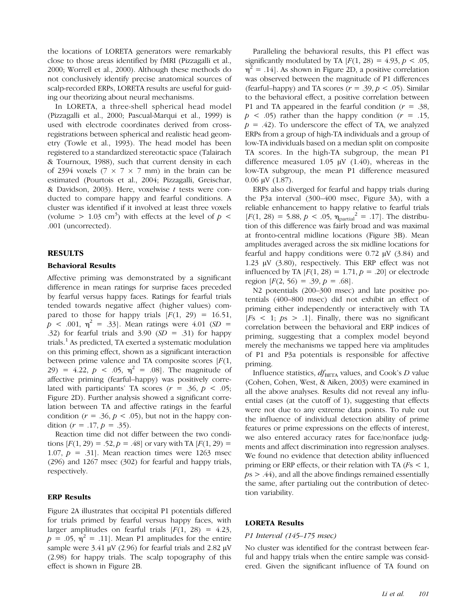the locations of LORETA generators were remarkably close to those areas identified by fMRI (Pizzagalli et al., 2000; Worrell et al., 2000). Although these methods do not conclusively identify precise anatomical sources of scalp-recorded ERPs, LORETA results are useful for guiding our theorizing about neural mechanisms.

In LORETA, a three-shell spherical head model (Pizzagalli et al., 2000; Pascual-Marqui et al., 1999) is used with electrode coordinates derived from crossregistrations between spherical and realistic head geometry (Towle et al., 1993). The head model has been registered to a standardized stereotactic space (Talairach & Tournoux, 1988), such that current density in each of 2394 voxels ( $7 \times 7 \times 7$  mm) in the brain can be estimated (Pourtois et al., 2004; Pizzagalli, Greischar, & Davidson, 2003). Here, voxelwise  $t$  tests were conducted to compare happy and fearful conditions. A cluster was identified if it involved at least three voxels (volume > 1.03 cm<sup>3</sup>) with effects at the level of  $p \leq$ .001 (uncorrected).

#### RESULTS

#### Behavioral Results

Affective priming was demonstrated by a significant difference in mean ratings for surprise faces preceded by fearful versus happy faces. Ratings for fearful trials tended towards negative affect (higher values) compared to those for happy trials  $[F(1, 29) = 16.51]$ ,  $p \lt 0.001$ ,  $\eta^2 = 0.33$ . Mean ratings were 4.01 (SD = .32) for fearful trials and 3.90  $(SD = .31)$  for happy trials. $<sup>1</sup>$  As predicted, TA exerted a systematic modulation</sup> on this priming effect, shown as a significant interaction between prime valence and TA composite scores  $[F(1,$ 29) = 4.22,  $p \lt 0.05$ ,  $\eta^2 = 0.08$ . The magnitude of affective priming (fearful–happy) was positively correlated with participants' TA scores  $(r = .36, p < .05)$ ; Figure 2D). Further analysis showed a significant correlation between TA and affective ratings in the fearful condition ( $r = .36$ ,  $p < .05$ ), but not in the happy condition  $(r = .17, p = .35)$ .

Reaction time did not differ between the two conditions  $[F(1, 29) = .52, p = .48]$  or vary with TA  $[F(1, 29) =$ 1.07,  $p = .31$ ]. Mean reaction times were 1263 msec (296) and 1267 msec (302) for fearful and happy trials, respectively.

## ERP Results

Figure 2A illustrates that occipital P1 potentials differed for trials primed by fearful versus happy faces, with larger amplitudes on fearful trials  $[F(1, 28) = 4.23]$ ,  $p = .05$ ,  $\eta^2 = .11$ ]. Mean P1 amplitudes for the entire sample were  $3.41 \text{ }\mu\text{V}$  (2.96) for fearful trials and 2.82  $\mu\text{V}$ (2.98) for happy trials. The scalp topography of this effect is shown in Figure 2B.

Paralleling the behavioral results, this P1 effect was significantly modulated by TA  $[F(1, 28) = 4.93, p < .05,$  $\eta^2$  = .14]. As shown in Figure 2D, a positive correlation was observed between the magnitude of P1 differences (fearful–happy) and TA scores ( $r = .39$ ,  $p < .05$ ). Similar to the behavioral effect, a positive correlation between P1 and TA appeared in the fearful condition  $(r = .38, )$  $p \leq .05$ ) rather than the happy condition ( $r = .15$ ,  $p = .42$ ). To underscore the effect of TA, we analyzed ERPs from a group of high-TA individuals and a group of low-TA individuals based on a median split on composite TA scores. In the high-TA subgroup, the mean P1 difference measured 1.05  $\mu$ V (1.40), whereas in the low-TA subgroup, the mean P1 difference measured  $0.06 \mu V (1.87)$ .

ERPs also diverged for fearful and happy trials during the P3a interval (300–400 msec, Figure 3A), with a reliable enhancement to happy relative to fearful trials  $[F(1, 28) = 5.88, p < .05, \eta_{\text{partial}}^2 = .17]$ . The distribution of this difference was fairly broad and was maximal at fronto-central midline locations (Figure 3B). Mean amplitudes averaged across the six midline locations for fearful and happy conditions were  $0.72 \mu V$  (3.84) and 1.23  $\mu$ V (3.80), respectively. This ERP effect was not influenced by TA  $[F(1, 28) = 1.71, p = .20]$  or electrode region  $[F(2, 56) = .39, p = .68]$ .

N2 potentials (200–300 msec) and late positive potentials (400–800 msec) did not exhibit an effect of priming either independently or interactively with TA  $[F<sub>S</sub> < 1; ps > .1]$ . Finally, there was no significant correlation between the behavioral and ERP indices of priming, suggesting that a complex model beyond merely the mechanisms we tapped here via amplitudes of P1 and P3a potentials is responsible for affective priming.

Influence statistics,  $df_{\text{BETA}}$  values, and Cook's D value (Cohen, Cohen, West, & Aiken, 2003) were examined in all the above analyses. Results did not reveal any influential cases (at the cutoff of 1), suggesting that effects were not due to any extreme data points. To rule out the influence of individual detection ability of prime features or prime expressions on the effects of interest, we also entered accuracy rates for face/nonface judgments and affect discrimination into regression analyses. We found no evidence that detection ability influenced priming or ERP effects, or their relation with TA ( $Fs < 1$ ,  $ps > .44$ ), and all the above findings remained essentially the same, after partialing out the contribution of detection variability.

#### LORETA Results

#### P1 Interval (145–175 msec)

No cluster was identified for the contrast between fearful and happy trials when the entire sample was considered. Given the significant influence of TA found on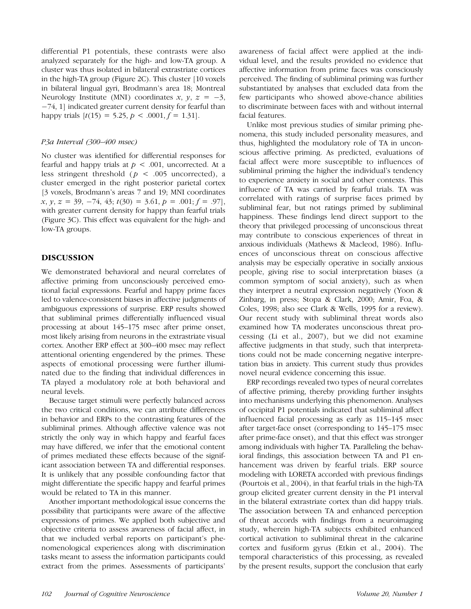differential P1 potentials, these contrasts were also analyzed separately for the high- and low-TA group. A cluster was thus isolated in bilateral extrastriate cortices in the high-TA group (Figure 2C). This cluster [10 voxels in bilateral lingual gyri, Brodmann's area 18; Montreal Neurology Institute (MNI) coordinates x,  $y$ ,  $z = -3$ ,  $-74$ , 1] indicated greater current density for fearful than happy trials  $[t(15) = 5.25, p < .0001, f = 1.31]$ .

## P3a Interval (300–400 msec)

No cluster was identified for differential responses for fearful and happy trials at  $p < .001$ , uncorrected. At a less stringent threshold ( $p < .005$  uncorrected), a cluster emerged in the right posterior parietal cortex [3 voxels, Brodmann's areas 7 and 19; MNI coordinates  $x, y, z = 39, -74, 43; t(30) = 3.61, p = .001; f = .97$ with greater current density for happy than fearful trials (Figure 3C). This effect was equivalent for the high- and low-TA groups.

# DISCUSSION

We demonstrated behavioral and neural correlates of affective priming from unconsciously perceived emotional facial expressions. Fearful and happy prime faces led to valence-consistent biases in affective judgments of ambiguous expressions of surprise. ERP results showed that subliminal primes differentially influenced visual processing at about 145–175 msec after prime onset, most likely arising from neurons in the extrastriate visual cortex. Another ERP effect at 300–400 msec may reflect attentional orienting engendered by the primes. These aspects of emotional processing were further illuminated due to the finding that individual differences in TA played a modulatory role at both behavioral and neural levels.

Because target stimuli were perfectly balanced across the two critical conditions, we can attribute differences in behavior and ERPs to the contrasting features of the subliminal primes. Although affective valence was not strictly the only way in which happy and fearful faces may have differed, we infer that the emotional content of primes mediated these effects because of the significant association between TA and differential responses. It is unlikely that any possible confounding factor that might differentiate the specific happy and fearful primes would be related to TA in this manner.

Another important methodological issue concerns the possibility that participants were aware of the affective expressions of primes. We applied both subjective and objective criteria to assess awareness of facial affect, in that we included verbal reports on participant's phenomenological experiences along with discrimination tasks meant to assess the information participants could extract from the primes. Assessments of participants'

awareness of facial affect were applied at the individual level, and the results provided no evidence that affective information from prime faces was consciously perceived. The finding of subliminal priming was further substantiated by analyses that excluded data from the few participants who showed above-chance abilities to discriminate between faces with and without internal facial features.

Unlike most previous studies of similar priming phenomena, this study included personality measures, and thus, highlighted the modulatory role of TA in unconscious affective priming. As predicted, evaluations of facial affect were more susceptible to influences of subliminal priming the higher the individual's tendency to experience anxiety in social and other contexts. This influence of TA was carried by fearful trials. TA was correlated with ratings of surprise faces primed by subliminal fear, but not ratings primed by subliminal happiness. These findings lend direct support to the theory that privileged processing of unconscious threat may contribute to conscious experiences of threat in anxious individuals (Mathews & Macleod, 1986). Influences of unconscious threat on conscious affective analysis may be especially operative in socially anxious people, giving rise to social interpretation biases (a common symptom of social anxiety), such as when they interpret a neutral expression negatively (Yoon & Zinbarg, in press; Stopa & Clark, 2000; Amir, Foa, & Coles, 1998; also see Clark & Wells, 1995 for a review). Our recent study with subliminal threat words also examined how TA moderates unconscious threat processing (Li et al., 2007), but we did not examine affective judgments in that study, such that interpretations could not be made concerning negative interpretation bias in anxiety. This current study thus provides novel neural evidence concerning this issue.

ERP recordings revealed two types of neural correlates of affective priming, thereby providing further insights into mechanisms underlying this phenomenon. Analyses of occipital P1 potentials indicated that subliminal affect influenced facial processing as early as 115–145 msec after target-face onset (corresponding to 145–175 msec after prime-face onset), and that this effect was stronger among individuals with higher TA. Paralleling the behavioral findings, this association between TA and P1 enhancement was driven by fearful trials. ERP source modeling with LORETA accorded with previous findings (Pourtois et al., 2004), in that fearful trials in the high-TA group elicited greater current density in the P1 interval in the bilateral extrastriate cortex than did happy trials. The association between TA and enhanced perception of threat accords with findings from a neuroimaging study, wherein high-TA subjects exhibited enhanced cortical activation to subliminal threat in the calcarine cortex and fusiform gyrus (Etkin et al., 2004). The temporal characteristics of this processing, as revealed by the present results, support the conclusion that early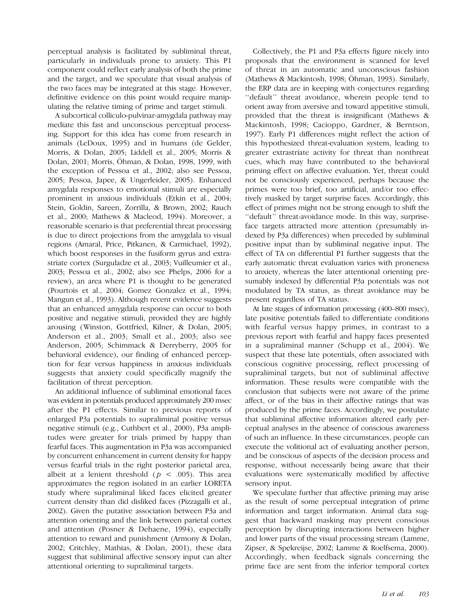perceptual analysis is facilitated by subliminal threat, particularly in individuals prone to anxiety. This P1 component could reflect early analysis of both the prime and the target, and we speculate that visual analysis of the two faces may be integrated at this stage. However, definitive evidence on this point would require manipulating the relative timing of prime and target stimuli.

A subcortical colliculo-pulvinar-amygdala pathway may mediate this fast and unconscious perceptual processing. Support for this idea has come from research in animals (LeDoux, 1995) and in humans (de Gelder, Morris, & Dolan, 2005; Liddell et al., 2005; Morris & Dolan, 2001; Morris, Öhman, & Dolan, 1998, 1999, with the exception of Pessoa et al., 2002; also see Pessoa, 2005; Pessoa, Japee, & Ungerleider, 2005). Enhanced amygdala responses to emotional stimuli are especially prominent in anxious individuals (Etkin et al., 2004; Stein, Goldin, Sareen, Zorrilla, & Brown, 2002; Rauch et al., 2000; Mathews & Macleod, 1994). Moreover, a reasonable scenario is that preferential threat processing is due to direct projections from the amygdala to visual regions (Amaral, Price, Pitkanen, & Carmichael, 1992), which boost responses in the fusiform gyrus and extrastriate cortex (Surguladze et al., 2003; Vuilleumier et al., 2003; Pessoa et al., 2002; also see Phelps, 2006 for a review), an area where P1 is thought to be generated (Pourtois et al., 2004; Gomez Gonzalez et al., 1994; Mangun et al., 1993). Although recent evidence suggests that an enhanced amygdala response can occur to both positive and negative stimuli, provided they are highly arousing (Winston, Gottfried, Kilner, & Dolan, 2005; Anderson et al., 2003; Small et al., 2003; also see Anderson, 2005; Schimmack & Derryberry, 2005 for behavioral evidence), our finding of enhanced perception for fear versus happiness in anxious individuals suggests that anxiety could specifically magnify the facilitation of threat perception.

An additional influence of subliminal emotional faces was evident in potentials produced approximately 200 msec after the P1 effects. Similar to previous reports of enlarged P3a potentials to supraliminal positive versus negative stimuli (e.g., Cuthbert et al., 2000), P3a amplitudes were greater for trials primed by happy than fearful faces. This augmentation in P3a was accompanied by concurrent enhancement in current density for happy versus fearful trials in the right posterior parietal area, albeit at a lenient threshold ( $p < .005$ ). This area approximates the region isolated in an earlier LORETA study where supraliminal liked faces elicited greater current density than did disliked faces (Pizzagalli et al., 2002). Given the putative association between P3a and attention orienting and the link between parietal cortex and attention (Posner & Dehaene, 1994), especially attention to reward and punishment (Armony & Dolan, 2002; Critchley, Mathias, & Dolan, 2001), these data suggest that subliminal affective sensory input can alter attentional orienting to supraliminal targets.

proposals that the environment is scanned for level of threat in an automatic and unconscious fashion (Mathews & Mackintosh, 1998; Ohman, 1993). Similarly, the ERP data are in keeping with conjectures regarding ''default'' threat avoidance, wherein people tend to orient away from aversive and toward appetitive stimuli, provided that the threat is insignificant (Mathews & Mackintosh, 1998; Cacioppo, Gardner, & Berntson, 1997). Early P1 differences might reflect the action of this hypothesized threat-evaluation system, leading to greater extrastriate activity for threat than nonthreat cues, which may have contributed to the behavioral priming effect on affective evaluation. Yet, threat could not be consciously experienced, perhaps because the primes were too brief, too artificial, and/or too effectively masked by target surprise faces. Accordingly, this effect of primes might not be strong enough to shift the ''default'' threat-avoidance mode. In this way, surpriseface targets attracted more attention (presumably indexed by P3a differences) when preceded by subliminal positive input than by subliminal negative input. The effect of TA on differential P1 further suggests that the early automatic threat evaluation varies with proneness to anxiety, whereas the later attentional orienting presumably indexed by differential P3a potentials was not modulated by TA status, as threat avoidance may be present regardless of TA status.

Collectively, the P1 and P3a effects figure nicely into

At late stages of information processing (400–800 msec), late positive potentials failed to differentiate conditions with fearful versus happy primes, in contrast to a previous report with fearful and happy faces presented in a supraliminal manner (Schupp et al., 2004). We suspect that these late potentials, often associated with conscious cognitive processing, reflect processing of supraliminal targets, but not of subliminal affective information. These results were compatible with the conclusion that subjects were not aware of the prime affect, or of the bias in their affective ratings that was produced by the prime faces. Accordingly, we postulate that subliminal affective information altered early perceptual analyses in the absence of conscious awareness of such an influence. In these circumstances, people can execute the volitional act of evaluating another person, and be conscious of aspects of the decision process and response, without necessarily being aware that their evaluations were systematically modified by affective sensory input.

We speculate further that affective priming may arise as the result of some perceptual integration of prime information and target information. Animal data suggest that backward masking may prevent conscious perception by disrupting interactions between higher and lower parts of the visual processing stream (Lamme, Zipser, & Spekreijse, 2002; Lamme & Roelfsema, 2000). Accordingly, when feedback signals concerning the prime face are sent from the inferior temporal cortex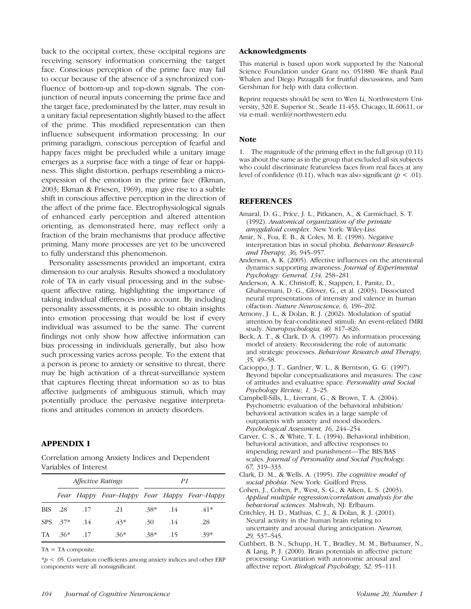back to the occipital cortex, these occipital regions are receiving sensory information concerning the target face. Conscious perception of the prime face may fail to occur because of the absence of a synchronized confluence of bottom-up and top-down signals. The conjunction of neural inputs concerning the prime face and the target face, predominated by the latter, may result in a unitary facial representation slightly biased to the affect of the prime. This modified representation can then influence subsequent information processing. In our priming paradigm, conscious perception of fearful and happy faces might be precluded while a unitary image emerges as a surprise face with a tinge of fear or happiness. This slight distortion, perhaps resembling a microexpression of the emotion in the prime face (Ekman, 2003; Ekman & Friesen, 1969), may give rise to a subtle shift in conscious affective perception in the direction of the affect of the prime face. Electrophysiological signals of enhanced early perception and altered attention orienting, as demonstrated here, may reflect only a fraction of the brain mechanisms that produce affective priming. Many more processes are yet to be uncovered to fully understand this phenomenon.

Personality assessments provided an important, extra dimension to our analysis. Results showed a modulatory role of TA in early visual processing and in the subsequent affective rating, highlighting the importance of taking individual differences into account. By including personality assessments, it is possible to obtain insights into emotion processing that would be lost if every individual was assumed to be the same. The current findings not only show how affective information can bias processing in individuals generally, but also how such processing varies across people. To the extent that a person is prone to anxiety or sensitive to threat, there may be high activation of a threat-surveillance system that captures fleeting threat information so as to bias affective judgments of ambiguous stimuli, which may potentially produce the pervasive negative interpretations and attitudes common in anxiety disorders.

# APPENDIX I

Correlation among Anxiety Indices and Dependent Variables of Interest

| <b>Affective Ratings</b> |                 |                                             | P1   |           |        |
|--------------------------|-----------------|---------------------------------------------|------|-----------|--------|
|                          |                 | Fear Happy Fear–Happy Fear Happy Fear–Happy |      |           |        |
| BIS .28                  | $\overline{17}$ | .21                                         |      | $.38*$ 14 | $.41*$ |
| $SPS$ .37*               | .14             | $.43*$                                      | .30  | .14       | .28    |
| $TA \quad .36*$          | .17             | $.36*$                                      | -38* | .15       | $.39*$ |

 $TA = TA$  composite.

 $*p < .05$ . Correlation coefficients among anxiety indices and other ERP components were all nonsignificant.

#### Acknowledgments

This material is based upon work supported by the National Science Foundation under Grant no. 051880. We thank Paul Whalen and Diego Pizzagalli for fruitful discussions, and Sam Gershman for help with data collection.

Reprint requests should be sent to Wen Li, Northwestern University, 320 E. Superior St., Searle 11-453, Chicago, IL 60611, or via e-mail: wenli@northwestern.edu.

#### Note

1. The magnitude of the priming effect in the full group (0.11) was about the same as in the group that excluded all six subjects who could discriminate featureless faces from real faces at any level of confidence (0.11), which was also significant ( $p < .01$ ).

#### **REFERENCES**

- Amaral, D. G., Price, J. L., Pitkanen, A., & Carmichael, S. T. (1992). Anatomical organization of the primate amygdaloid complex. New York: Wiley-Liss.
- Amir, N., Foa, E. B., & Coles, M. E. (1998). Negative interpretation bias in social phobia. Behaviour Research and Therapy, 36, 945–957.
- Anderson, A. K. (2005). Affective influences on the attentional dynamics supporting awareness. Journal of Experimental Psychology: General, 134, 258–281.
- Anderson, A. K., Christoff, K., Stappen, I., Panitz, D., Ghahremani, D. G., Glover, G., et al. (2003). Dissociated neural representations of intensity and valence in human olfaction. Nature Neuroscience, 6, 196–202.
- Armony, J. L., & Dolan, R. J. (2002). Modulation of spatial attention by fear-conditioned stimuli: An event-related fMRI study. Neuropsychologia, 40, 817–826.
- Beck, A. T., & Clark, D. A. (1997). An information processing model of anxiety: Reconsidering the role of automatic and strategic processes. Behaviour Research and Therapy, 35, 49–58.
- Cacioppo, J. T., Gardner, W. L., & Berntson, G. G. (1997). Beyond bipolar conceptualizations and measures: The case of attitudes and evaluative space. Personality and Social Psychology Review, 1, 3–25.
- Campbell-Sills, L., Liverant, G., & Brown, T. A. (2004). Psychometric evaluation of the behavioral inhibition/ behavioral activation scales in a large sample of outpatients with anxiety and mood disorders. Psychological Assessment, 16, 244–254.
- Carver, C. S., & White, T. L. (1994). Behavioral inhibition, behavioral activation, and affective responses to impending reward and punishment—The BIS/BAS scales. Journal of Personality and Social Psychology, 67, 319–333.
- Clark, D. M., & Wells, A. (1995). The cognitive model of social phobia. New York: Guilford Press.
- Cohen, J., Cohen, P., West, S. G., & Aiken, L. S. (2003). Applied multiple regression/correlation analysis for the behavioral sciences. Mahwah, NJ: Erlbaum.
- Critchley, H. D., Mathias, C. J., & Dolan, R. J. (2001). Neural activity in the human brain relating to uncertainty and arousal during anticipation. Neuron, 29, 537–545.
- Cuthbert, B. N., Schupp, H. T., Bradley, M. M., Birbaumer, N., & Lang, P. J. (2000). Brain potentials in affective picture processing: Covariation with autonomic arousal and affective report. Biological Psychology, 52, 95–111.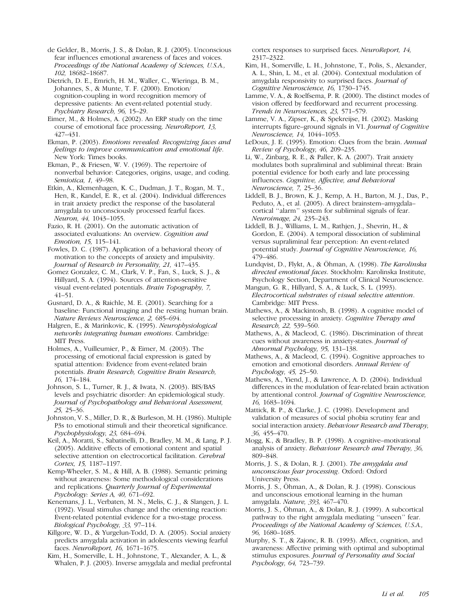de Gelder, B., Morris, J. S., & Dolan, R. J. (2005). Unconscious fear influences emotional awareness of faces and voices. Proceedings of the National Academy of Sciences, U.S.A., 102, 18682–18687.

Dietrich, D. E., Emrich, H. M., Waller, C., Wieringa, B. M., Johannes, S., & Munte, T. F. (2000). Emotion/ cognition-coupling in word recognition memory of depressive patients: An event-related potential study. Psychiatry Research, 96, 15–29.

Eimer, M., & Holmes, A. (2002). An ERP study on the time course of emotional face processing. NeuroReport, 13, 427–431.

Ekman, P. (2003). Emotions revealed: Recognizing faces and feelings to improve communication and emotional life. New York: Times books.

Ekman, P., & Friesen, W. V. (1969). The repertoire of nonverbal behavior: Categories, origins, usage, and coding. Semiotica, 1, 49–98.

Etkin, A., Klemenhagen, K. C., Dudman, J. T., Rogan, M. T., Hen, R., Kandel, E. R., et al. (2004). Individual differences in trait anxiety predict the response of the basolateral amygdala to unconsciously processed fearful faces. Neuron, 44, 1043–1055.

Fazio, R. H. (2001). On the automatic activation of associated evaluations: An overview. Cognition and Emotion, 15, 115–141.

Fowles, D. C. (1987). Application of a behavioral theory of motivation to the concepts of anxiety and impulsivity. Journal of Research in Personality, 21, 417–435.

Gomez Gonzalez, C. M., Clark, V. P., Fan, S., Luck, S. J., & Hillyard, S. A. (1994). Sources of attention-sensitive visual event-related potentials. Brain Topography, 7, 41–51.

Gusnard, D. A., & Raichle, M. E. (2001). Searching for a baseline: Functional imaging and the resting human brain. Nature Reviews Neuroscience, 2, 685–694.

Halgren, E., & Marinkovic, K. (1995). Neurophysiological networks integrating human emotions. Cambridge: MIT Press.

Holmes, A., Vuilleumier, P., & Eimer, M. (2003). The processing of emotional facial expression is gated by spatial attention: Evidence from event-related brain potentials. Brain Research, Cognitive Brain Research, 16, 174–184.

Johnson, S. L., Turner, R. J., & Iwata, N. (2003). BIS/BAS levels and psychiatric disorder: An epidemiological study. Journal of Psychopathology and Behavioral Assessment, 25, 25–36.

Johnston, V. S., Miller, D. R., & Burleson, M. H. (1986). Multiple P3s to emotional stimuli and their theoretical significance. Psychophysiology, 23, 684–694.

Keil, A., Moratti, S., Sabatinelli, D., Bradley, M. M., & Lang, P. J. (2005). Additive effects of emotional content and spatial selective attention on electrocortical facilitation. Cerebral Cortex, 15, 1187–1197.

Kemp-Wheeler, S. M., & Hill, A. B. (1988). Semantic priming without awareness: Some methodological considerations and replications. Quarterly Journal of Experimental Psychology: Series A, 40, 671–692.

Kenemans, J. L., Verbaten, M. N., Melis, C. J., & Slangen, J. L. (1992). Visual stimulus change and the orienting reaction: Event-related potential evidence for a two-stage process. Biological Psychology, 33, 97–114.

Killgore, W. D., & Yurgelun-Todd, D. A. (2005). Social anxiety predicts amygdala activation in adolescents viewing fearful faces. NeuroReport, 16, 1671–1675.

Kim, H., Somerville, L. H., Johnstone, T., Alexander, A. L., & Whalen, P. J. (2003). Inverse amygdala and medial prefrontal cortex responses to surprised faces. NeuroReport, 14, 2317–2322.

Kim, H., Somerville, L. H., Johnstone, T., Polis, S., Alexander, A. L., Shin, L. M., et al. (2004). Contextual modulation of amygdala responsivity to surprised faces. Journal of Cognitive Neuroscience, 16, 1730–1745.

Lamme, V. A., & Roelfsema, P. R. (2000). The distinct modes of vision offered by feedforward and recurrent processing. Trends in Neurosciences, 23, 571–579.

Lamme, V. A., Zipser, K., & Spekreijse, H. (2002). Masking interrupts figure–ground signals in V1. Journal of Cognitive Neuroscience, 14, 1044–1053.

LeDoux, J. E. (1995). Emotion: Clues from the brain. Annual Review of Psychology, 46, 209–235.

Li, W., Zinbarg, R. E., & Paller, K. A. (2007). Trait anxiety modulates both supraliminal and subliminal threat: Brain potential evidence for both early and late processing influences. Cognitive, Affective, and Behavioral Neuroscience, 7, 25–36.

Liddell, B. J., Brown, K. J., Kemp, A. H., Barton, M. J., Das, P., Peduto, A., et al. (2005). A direct brainstem–amygdala– cortical ''alarm'' system for subliminal signals of fear. Neuroimage, 24, 235–243.

Liddell, B. J., Williams, L. M., Rathjen, J., Shevrin, H., & Gordon, E. (2004). A temporal dissociation of subliminal versus supraliminal fear perception: An event-related potential study. Journal of Cognitive Neuroscience, 16, 479–486.

Lundqvist, D., Flykt, A., & Öhman, A. (1998). The Karolinska directed emotional faces. Stockholm: Karolinska Institute, Psychology Section, Department of Clinical Neuroscience.

Mangun, G. R., Hillyard, S. A., & Luck, S. L. (1993). Electrocortical substrates of visual selective attention. Cambridge: MIT Press.

Mathews, A., & Mackintosh, B. (1998). A cognitive model of selective processing in anxiety. Cognitive Therapy and Research, 22, 539–560.

Mathews, A., & Macleod, C. (1986). Discrimination of threat cues without awareness in anxiety-states. Journal of Abnormal Psychology, 95, 131–138.

Mathews, A., & Macleod, C. (1994). Cognitive approaches to emotion and emotional disorders. Annual Review of Psychology, 45, 25–50.

Mathews, A., Yiend, J., & Lawrence, A. D. (2004). Individual differences in the modulation of fear-related brain activation by attentional control. Journal of Cognitive Neuroscience, 16, 1683–1694.

Mattick, R. P., & Clarke, J. C. (1998). Development and validation of measures of social phobia scrutiny fear and social interaction anxiety. Behaviour Research and Therapy, 36, 455–470.

Mogg, K., & Bradley, B. P. (1998). A cognitive–motivational analysis of anxiety. Behaviour Research and Therapy, 36, 809–848.

Morris, J. S., & Dolan, R. J. (2001). The amygdala and unconscious fear processing. Oxford: Oxford University Press.

Morris, J. S., Öhman, A., & Dolan, R. J. (1998). Conscious and unconscious emotional learning in the human amygdala. Nature, 393, 467–470.

Morris, J. S., Öhman, A., & Dolan, R. J. (1999). A subcortical pathway to the right amygdala mediating ''unseen'' fear. Proceedings of the National Academy of Sciences, U.S.A., 96, 1680–1685.

Murphy, S. T., & Zajonc, R. B. (1993). Affect, cognition, and awareness: Affective priming with optimal and suboptimal stimulus exposures. Journal of Personality and Social Psychology, 64, 723–739.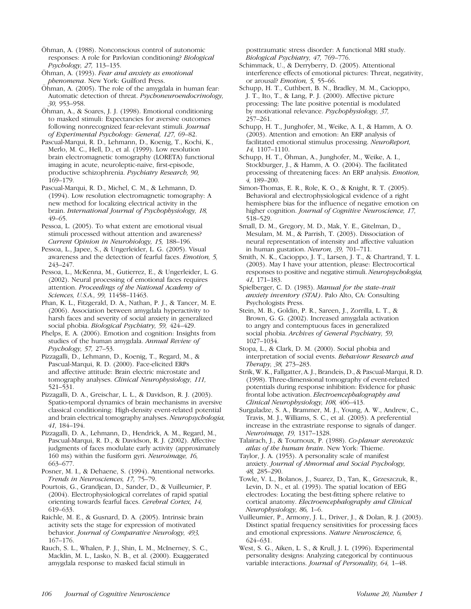Öhman, A. (1988). Nonconscious control of autonomic responses: A role for Pavlovian conditioning? Biological Psychology, 27, 113–135.

Öhman, A. (1993). Fear and anxiety as emotional phenomena. New York: Guilford Press.

Öhman, A. (2005). The role of the amygdala in human fear: Automatic detection of threat. Psychoneuroendocrinology, 30, 953–958.

O¨hman, A., & Soares, J. J. (1998). Emotional conditioning to masked stimuli: Expectancies for aversive outcomes following nonrecognized fear-relevant stimuli. Journal of Experimental Psychology: General, 127, 69–82.

Pascual-Marqui, R. D., Lehmann, D., Koenig, T., Kochi, K., Merlo, M. C., Hell, D., et al. (1999). Low resolution brain electromagnetic tomography (LORETA) functional imaging in acute, neuroleptic-naive, first-episode, productive schizophrenia. Psychiatry Research, 90, 169–179.

Pascual-Marqui, R. D., Michel, C. M., & Lehmann, D. (1994). Low resolution electromagnetic tomography: A new method for localizing electrical activity in the brain. International Journal of Psychophysiology, 18, 49–65.

Pessoa, L. (2005). To what extent are emotional visual stimuli processed without attention and awareness? Current Opinion in Neurobiology, 15, 188–196.

Pessoa, L., Japee, S., & Ungerleider, L. G. (2005). Visual awareness and the detection of fearful faces. Emotion, 5, 243–247.

Pessoa, L., McKenna, M., Gutierrez, E., & Ungerleider, L. G. (2002). Neural processing of emotional faces requires attention. Proceedings of the National Academy of Sciences, U.S.A., 99, 11458–11463.

Phan, K. L., Fitzgerald, D. A., Nathan, P. J., & Tancer, M. E. (2006). Association between amygdala hyperactivity to harsh faces and severity of social anxiety in generalized social phobia. Biological Psychiatry, 59, 424–429.

Phelps, E. A. (2006). Emotion and cognition: Insights from studies of the human amygdala. Annual Review of Psychology, 57, 27–53.

Pizzagalli, D., Lehmann, D., Koenig, T., Regard, M., & Pascual-Marqui, R. D. (2000). Face-elicited ERPs and affective attitude: Brain electric microstate and tomography analyses. Clinical Neurophysiology, 111, 521–531.

Pizzagalli, D. A., Greischar, L. L., & Davidson, R. J. (2003). Spatio-temporal dynamics of brain mechanisms in aversive classical conditioning: High-density event-related potential and brain electrical tomography analyses. Neuropsychologia, 41, 184–194.

Pizzagalli, D. A., Lehmann, D., Hendrick, A. M., Regard, M., Pascual-Marqui, R. D., & Davidson, R. J. (2002). Affective judgments of faces modulate early activity (approximately 160 ms) within the fusiform gyri. Neuroimage, 16, 663–677.

Posner, M. I., & Dehaene, S. (1994). Attentional networks. Trends in Neurosciences, 17, 75–79.

Pourtois, G., Grandjean, D., Sander, D., & Vuilleumier, P. (2004). Electrophysiological correlates of rapid spatial orienting towards fearful faces. Cerebral Cortex, 14, 619–633.

Raichle, M. E., & Gusnard, D. A. (2005). Intrinsic brain activity sets the stage for expression of motivated behavior. Journal of Comparative Neurology, 493, 167–176.

Rauch, S. L., Whalen, P. J., Shin, L. M., McInerney, S. C., Macklin, M. L., Lasko, N. B., et al. (2000). Exaggerated amygdala response to masked facial stimuli in

posttraumatic stress disorder: A functional MRI study. Biological Psychiatry, 47, 769–776.

Schimmack, U., & Derryberry, D. (2005). Attentional interference effects of emotional pictures: Threat, negativity, or arousal? Emotion, 5, 55–66.

Schupp, H. T., Cuthbert, B. N., Bradley, M. M., Cacioppo, J. T., Ito, T., & Lang, P. J. (2000). Affective picture processing: The late positive potential is modulated by motivational relevance. Psychophysiology, 37, 257–261.

Schupp, H. T., Junghofer, M., Weike, A. I., & Hamm, A. O. (2003). Attention and emotion: An ERP analysis of facilitated emotional stimulus processing. NeuroReport, 14, 1107–1110.

Schupp, H. T., Ohman, A., Junghofer, M., Weike, A. I., Stockburger, J., & Hamm, A. O. (2004). The facilitated processing of threatening faces: An ERP analysis. Emotion, 4, 189–200.

Simon-Thomas, E. R., Role, K. O., & Knight, R. T. (2005). Behavioral and electrophysiological evidence of a right hemisphere bias for the influence of negative emotion on higher cognition. Journal of Cognitive Neuroscience, 17, 518–529.

Small, D. M., Gregory, M. D., Mak, Y. E., Gitelman, D., Mesulam, M. M., & Parrish, T. (2003). Dissociation of neural representation of intensity and affective valuation in human gustation. Neuron, 39, 701–711.

Smith, N. K., Cacioppo, J. T., Larsen, J. T., & Chartrand, T. L. (2003). May I have your attention, please: Electrocortical responses to positive and negative stimuli. Neuropsychologia, 41, 171–183.

Spielberger, C. D. (1983). Manual for the state–trait anxiety inventory (STAI). Palo Alto, CA: Consulting Psychologists Press.

Stein, M. B., Goldin, P. R., Sareen, J., Zorrilla, L. T., & Brown, G. G. (2002). Increased amygdala activation to angry and contemptuous faces in generalized social phobia. Archives of General Psychiatry, 59, 1027–1034.

Stopa, L., & Clark, D. M. (2000). Social phobia and interpretation of social events. Behaviour Research and Therapy, 38, 273–283.

Strik, W. K., Fallgatter, A. J., Brandeis, D., & Pascual-Marqui, R. D. (1998). Three-dimensional tomography of event-related potentials during response inhibition: Evidence for phasic frontal lobe activation. Electroencephalography and Clinical Neurophysiology, 108, 406–413.

Surguladze, S. A., Brammer, M. J., Young, A. W., Andrew, C., Travis, M. J., Williams, S. C., et al. (2003). A preferential increase in the extrastriate response to signals of danger. Neuroimage, 19, 1317–1328.

Talairach, J., & Tournoux, P. (1988). Co-planar stereotaxic atlas of the human brain. New York: Thieme.

Taylor, J. A. (1953). A personality scale of manifest anxiety. Journal of Abnormal and Social Psychology, 48, 285–290.

Towle, V. L., Bolanos, J., Suarez, D., Tan, K., Grzeszczuk, R., Levin, D. N., et al. (1993). The spatial location of EEG electrodes: Locating the best-fitting sphere relative to cortical anatomy. Electroencephalography and Clinical Neurophysiology, 86, 1–6.

Vuilleumier, P., Armony, J. L., Driver, J., & Dolan, R. J. (2003). Distinct spatial frequency sensitivities for processing faces and emotional expressions. Nature Neuroscience, 6, 624–631.

West, S. G., Aiken, L. S., & Krull, J. L. (1996). Experimental personality designs: Analyzing categorical by continuous variable interactions. Journal of Personality, 64, 1–48.